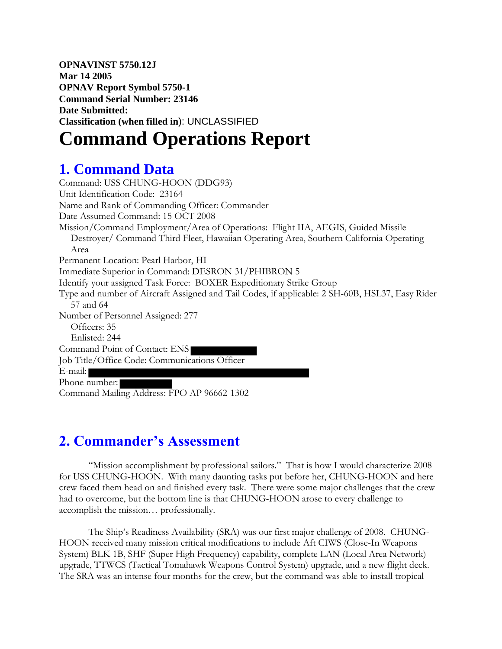**OPNAVINST 5750.12J Mar 14 2005 OPNAV Report Symbol 5750-1 Command Serial Number: 23146 Date Submitted: Classification (when filled in**): UNCLASSIFIED

# **Command Operations Report**

# **1. Command Data**

Command: USS CHUNG-HOON (DDG93) Unit Identification Code: 23164 Name and Rank of Commanding Officer: Commander Date Assumed Command: 15 OCT 2008 Mission/Command Employment/Area of Operations: Flight IIA, AEGIS, Guided Missile Destroyer/ Command Third Fleet, Hawaiian Operating Area, Southern California Operating Area Permanent Location: Pearl Harbor, HI Immediate Superior in Command: DESRON 31/PHIBRON 5 Identify your assigned Task Force: BOXER Expeditionary Strike Group Type and number of Aircraft Assigned and Tail Codes, if applicable: 2 SH-60B, HSL37, Easy Rider 57 and 64 Number of Personnel Assigned: 277 Officers: 35 Enlisted: 244 Command Point of Contact: ENS Job Title/Office Code: Communications Officer E-mail: Phone number: Command Mailing Address: FPO AP 96662-1302

### **2. Commander's Assessment**

"Mission accomplishment by professional sailors." That is how I would characterize 2008 for USS CHUNG-HOON. With many daunting tasks put before her, CHUNG-HOON and here crew faced them head on and finished every task. There were some major challenges that the crew had to overcome, but the bottom line is that CHUNG-HOON arose to every challenge to accomplish the mission… professionally.

The Ship's Readiness Availability (SRA) was our first major challenge of 2008. CHUNG-HOON received many mission critical modifications to include Aft CIWS (Close-In Weapons System) BLK 1B, SHF (Super High Frequency) capability, complete LAN (Local Area Network) upgrade, TTWCS (Tactical Tomahawk Weapons Control System) upgrade, and a new flight deck. The SRA was an intense four months for the crew, but the command was able to install tropical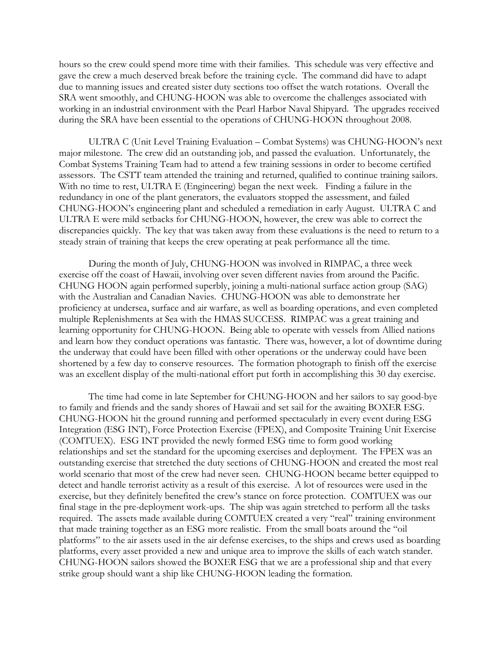hours so the crew could spend more time with their families. This schedule was very effective and gave the crew a much deserved break before the training cycle. The command did have to adapt due to manning issues and created sister duty sections too offset the watch rotations. Overall the SRA went smoothly, and CHUNG-HOON was able to overcome the challenges associated with working in an industrial environment with the Pearl Harbor Naval Shipyard. The upgrades received during the SRA have been essential to the operations of CHUNG-HOON throughout 2008.

ULTRA C (Unit Level Training Evaluation – Combat Systems) was CHUNG-HOON's next major milestone. The crew did an outstanding job, and passed the evaluation. Unfortunately, the Combat Systems Training Team had to attend a few training sessions in order to become certified assessors. The CSTT team attended the training and returned, qualified to continue training sailors. With no time to rest, ULTRA E (Engineering) began the next week. Finding a failure in the redundancy in one of the plant generators, the evaluators stopped the assessment, and failed CHUNG-HOON's engineering plant and scheduled a remediation in early August. ULTRA C and ULTRA E were mild setbacks for CHUNG-HOON, however, the crew was able to correct the discrepancies quickly. The key that was taken away from these evaluations is the need to return to a steady strain of training that keeps the crew operating at peak performance all the time.

During the month of July, CHUNG-HOON was involved in RIMPAC, a three week exercise off the coast of Hawaii, involving over seven different navies from around the Pacific. CHUNG HOON again performed superbly, joining a multi-national surface action group (SAG) with the Australian and Canadian Navies. CHUNG-HOON was able to demonstrate her proficiency at undersea, surface and air warfare, as well as boarding operations, and even completed multiple Replenishments at Sea with the HMAS SUCCESS. RIMPAC was a great training and learning opportunity for CHUNG-HOON. Being able to operate with vessels from Allied nations and learn how they conduct operations was fantastic. There was, however, a lot of downtime during the underway that could have been filled with other operations or the underway could have been shortened by a few day to conserve resources. The formation photograph to finish off the exercise was an excellent display of the multi-national effort put forth in accomplishing this 30 day exercise.

The time had come in late September for CHUNG-HOON and her sailors to say good-bye to family and friends and the sandy shores of Hawaii and set sail for the awaiting BOXER ESG. CHUNG-HOON hit the ground running and performed spectacularly in every event during ESG Integration (ESG INT), Force Protection Exercise (FPEX), and Composite Training Unit Exercise (COMTUEX). ESG INT provided the newly formed ESG time to form good working relationships and set the standard for the upcoming exercises and deployment. The FPEX was an outstanding exercise that stretched the duty sections of CHUNG-HOON and created the most real world scenario that most of the crew had never seen. CHUNG-HOON became better equipped to detect and handle terrorist activity as a result of this exercise. A lot of resources were used in the exercise, but they definitely benefited the crew's stance on force protection. COMTUEX was our final stage in the pre-deployment work-ups. The ship was again stretched to perform all the tasks required. The assets made available during COMTUEX created a very "real" training environment that made training together as an ESG more realistic. From the small boats around the "oil platforms" to the air assets used in the air defense exercises, to the ships and crews used as boarding platforms, every asset provided a new and unique area to improve the skills of each watch stander. CHUNG-HOON sailors showed the BOXER ESG that we are a professional ship and that every strike group should want a ship like CHUNG-HOON leading the formation.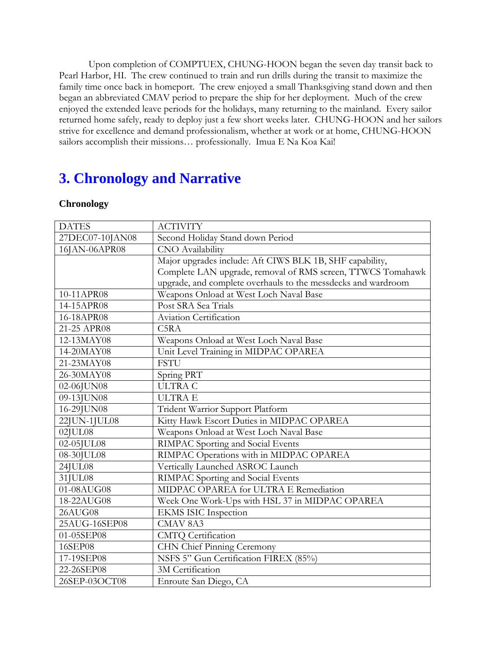Upon completion of COMPTUEX, CHUNG-HOON began the seven day transit back to Pearl Harbor, HI. The crew continued to train and run drills during the transit to maximize the family time once back in homeport. The crew enjoyed a small Thanksgiving stand down and then began an abbreviated CMAV period to prepare the ship for her deployment. Much of the crew enjoyed the extended leave periods for the holidays, many returning to the mainland. Every sailor returned home safely, ready to deploy just a few short weeks later. CHUNG-HOON and her sailors strive for excellence and demand professionalism, whether at work or at home, CHUNG-HOON sailors accomplish their missions... professionally. Imua E Na Koa Kai!

### **3. Chronology and Narrative**

#### **Chronology**

| <b>DATES</b>    | <b>ACTIVITY</b>                                               |
|-----------------|---------------------------------------------------------------|
| 27DEC07-10JAN08 | Second Holiday Stand down Period                              |
| 16JAN-06APR08   | <b>CNO</b> Availability                                       |
|                 | Major upgrades include: Aft CIWS BLK 1B, SHF capability,      |
|                 | Complete LAN upgrade, removal of RMS screen, TTWCS Tomahawk   |
|                 | upgrade, and complete overhauls to the messdecks and wardroom |
| 10-11APR08      | Weapons Onload at West Loch Naval Base                        |
| 14-15APR08      | Post SRA Sea Trials                                           |
| 16-18APR08      | Aviation Certification                                        |
| 21-25 APR08     | C <sub>5</sub> R <sub>A</sub>                                 |
| 12-13MAY08      | Weapons Onload at West Loch Naval Base                        |
| 14-20MAY08      | Unit Level Training in MIDPAC OPAREA                          |
| 21-23MAY08      | <b>FSTU</b>                                                   |
| 26-30MAY08      | Spring PRT                                                    |
| 02-06JUN08      | <b>ULTRA C</b>                                                |
| 09-13JUN08      | <b>ULTRAE</b>                                                 |
| 16-29JUN08      | Trident Warrior Support Platform                              |
| 22JUN-1JUL08    | Kitty Hawk Escort Duties in MIDPAC OPAREA                     |
| $02$ JUL $08$   | Weapons Onload at West Loch Naval Base                        |
| 02-05JUL08      | RIMPAC Sporting and Social Events                             |
| 08-30JUL08      | RIMPAC Operations with in MIDPAC OPAREA                       |
| 24JUL08         | Vertically Launched ASROC Launch                              |
| 31JUL08         | RIMPAC Sporting and Social Events                             |
| 01-08AUG08      | MIDPAC OPAREA for ULTRA E Remediation                         |
| 18-22AUG08      | Week One Work-Ups with HSL 37 in MIDPAC OPAREA                |
| 26AUG08         | <b>EKMS ISIC Inspection</b>                                   |
| 25AUG-16SEP08   | CMAV <sub>8A3</sub>                                           |
| 01-05SEP08      | <b>CMTQ</b> Certification                                     |
| 16SEP08         | CHN Chief Pinning Ceremony                                    |
| 17-19SEP08      | NSFS 5" Gun Certification FIREX (85%)                         |
| 22-26SEP08      | 3M Certification                                              |
| 26SEP-03OCT08   | Enroute San Diego, CA                                         |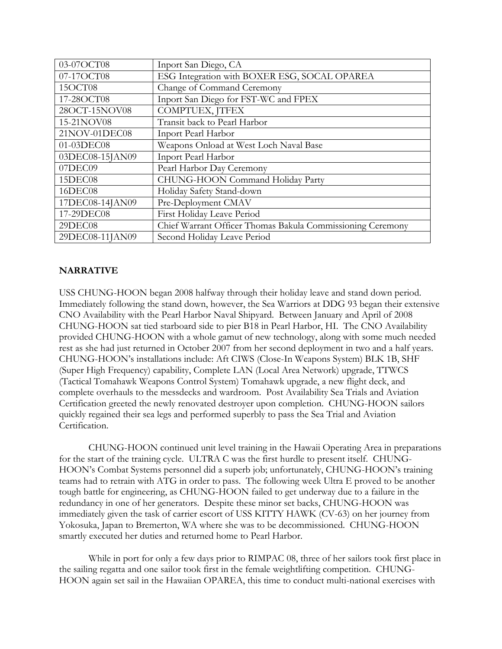| 03-07OCT08      | Inport San Diego, CA                                       |
|-----------------|------------------------------------------------------------|
| 07-17OCT08      | ESG Integration with BOXER ESG, SOCAL OPAREA               |
| 15OCT08         | Change of Command Ceremony                                 |
| 17-28OCT08      | Inport San Diego for FST-WC and FPEX                       |
| 28OCT-15NOV08   | COMPTUEX, JTFEX                                            |
| 15-21NOV08      | Transit back to Pearl Harbor                               |
| 21NOV-01DEC08   | Inport Pearl Harbor                                        |
| 01-03DEC08      | Weapons Onload at West Loch Naval Base                     |
| 03DEC08-15JAN09 | Inport Pearl Harbor                                        |
| 07DEC09         | Pearl Harbor Day Ceremony                                  |
| 15DEC08         | CHUNG-HOON Command Holiday Party                           |
| 16DEC08         | Holiday Safety Stand-down                                  |
| 17DEC08-14JAN09 | Pre-Deployment CMAV                                        |
| 17-29DEC08      | First Holiday Leave Period                                 |
| 29DEC08         | Chief Warrant Officer Thomas Bakula Commissioning Ceremony |
| 29DEC08-11JAN09 | Second Holiday Leave Period                                |

#### **NARRATIVE**

USS CHUNG-HOON began 2008 halfway through their holiday leave and stand down period. Immediately following the stand down, however, the Sea Warriors at DDG 93 began their extensive CNO Availability with the Pearl Harbor Naval Shipyard. Between January and April of 2008 CHUNG-HOON sat tied starboard side to pier B18 in Pearl Harbor, HI. The CNO Availability provided CHUNG-HOON with a whole gamut of new technology, along with some much needed rest as she had just returned in October 2007 from her second deployment in two and a half years. CHUNG-HOON's installations include: Aft CIWS (Close-In Weapons System) BLK 1B, SHF (Super High Frequency) capability, Complete LAN (Local Area Network) upgrade, TTWCS (Tactical Tomahawk Weapons Control System) Tomahawk upgrade, a new flight deck, and complete overhauls to the messdecks and wardroom. Post Availability Sea Trials and Aviation Certification greeted the newly renovated destroyer upon completion. CHUNG-HOON sailors quickly regained their sea legs and performed superbly to pass the Sea Trial and Aviation Certification.

CHUNG-HOON continued unit level training in the Hawaii Operating Area in preparations for the start of the training cycle. ULTRA C was the first hurdle to present itself. CHUNG-HOON's Combat Systems personnel did a superb job; unfortunately, CHUNG-HOON's training teams had to retrain with ATG in order to pass. The following week Ultra E proved to be another tough battle for engineering, as CHUNG-HOON failed to get underway due to a failure in the redundancy in one of her generators. Despite these minor set backs, CHUNG-HOON was immediately given the task of carrier escort of USS KITTY HAWK (CV-63) on her journey from Yokosuka, Japan to Bremerton, WA where she was to be decommissioned. CHUNG-HOON smartly executed her duties and returned home to Pearl Harbor.

While in port for only a few days prior to RIMPAC 08, three of her sailors took first place in the sailing regatta and one sailor took first in the female weightlifting competition. CHUNG-HOON again set sail in the Hawaiian OPAREA, this time to conduct multi-national exercises with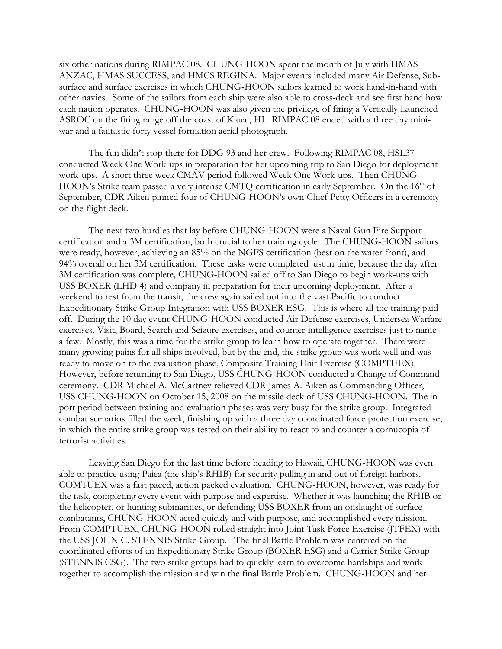six other nations during RIMPAC 08. CHUNG-HOON spent the month of July with HMAS ANZAC, HMAS SUCCESS, and HMCS REGINA. Major events included many Air Defense, Subsurface and surface exercises in which CHUNG-HOON sailors learned to work hand-in-hand with other navies. Some of the sailors from each ship were also able to cross-deck and see first hand how each nation operates. CHUNG-HOON was also given the privilege of firing a Vertically Launched ASROC on the firing range off the coast of Kauai, HI. RIMPAC 08 ended with a three day miniwar and a fantastic forty vessel formation aerial photograph.

The fun didn't stop there for DDG 93 and her crew. Following RIMPAC 08, HSL37 conducted Week One Work-ups in preparation for her upcoming trip to San Diego for deployment work-ups. A short three week CMAV period followed Week One Work-ups. Then CHUNG-HOON's Strike team passed a very intense CMTQ certification in early September. On the 16<sup>th</sup> of September, CDR Aiken pinned four of CHUNG-HOON's own Chief Petty Officers in a ceremony on the flight deck.

The next two hurdles that lay before CHUNG-HOON were a Naval Gun Fire Support certification and a 3M certification, both crucial to her training cycle. The CHUNG-HOON sailors were ready, however, achieving an 85% on the NGFS certification (best on the water front), and 94% overall on her 3M certification. These tasks were completed just in time, because the day after 3M certification was complete, CHUNG-HOON sailed off to San Diego to begin work-ups with USS BOXER (LHD 4) and company in preparation for their upcoming deployment. After a weekend to rest from the transit, the crew again sailed out into the vast Pacific to conduct Expeditionary Strike Group Integration with USS BOXER ESG. This is where all the training paid off. During the 10 day event CHUNG-HOON conducted Air Defense exercises, Undersea Warfare exercises, Visit, Board, Search and Seizure exercises, and counter-intelligence exercises just to name a few. Mostly, this was a time for the strike group to learn how to operate together. There were many growing pains for all ships involved, but by the end, the strike group was work well and was ready to move on to the evaluation phase, Composite Training Unit Exercise (COMPTUEX). However, before returning to San Diego, USS CHUNG-HOON conducted a Change of Command ceremony. CDR Michael A. McCartney relieved CDR James A. Aiken as Commanding Officer, USS CHUNG-HOON on October 15, 2008 on the missile deck of USS CHUNG-HOON. The in port period between training and evaluation phases was very busy for the strike group. Integrated combat scenarios filled the week, finishing up with a three day coordinated force protection exercise, in which the entire strike group was tested on their ability to react to and counter a cornucopia of terrorist activities.

Leaving San Diego for the last time before heading to Hawaii, CHUNG-HOON was even able to practice using Paiea (the ship's RHIB) for security pulling in and out of foreign harbors. COMTUEX was a fast paced, action packed evaluation. CHUNG-HOON, however, was ready for the task, completing every event with purpose and expertise. Whether it was launching the RHIB or the helicopter, or hunting submarines, or defending USS BOXER from an onslaught of surface combatants, CHUNG-HOON acted quickly and with purpose, and accomplished every mission. From COMPTUEX, CHUNG-HOON rolled straight into Joint Task Force Exercise (JTFEX) with the USS JOHN C. STENNIS Strike Group. The final Battle Problem was centered on the coordinated efforts of an Expeditionary Strike Group (BOXER ESG) and a Carrier Strike Group (STENNIS CSG). The two strike groups had to quickly learn to overcome hardships and work together to accomplish the mission and win the final Battle Problem. CHUNG-HOON and her